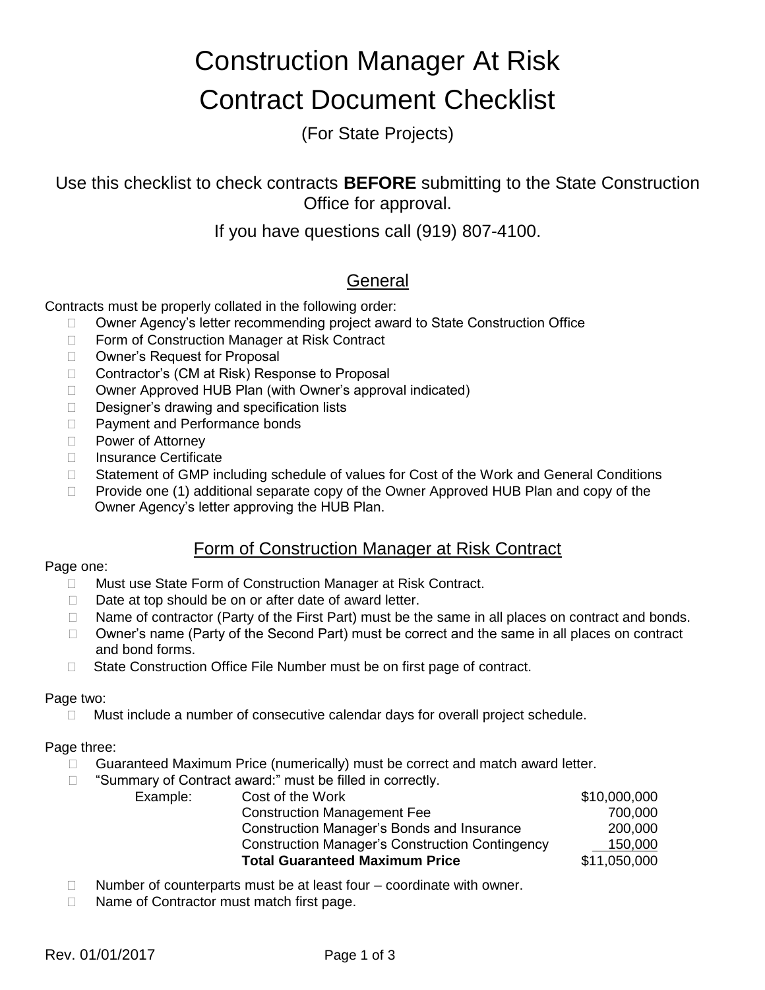# Construction Manager At Risk Contract Document Checklist

(For State Projects)

Use this checklist to check contracts **BEFORE** submitting to the State Construction Office for approval.

If you have questions call (919) 807-4100.

## General

Contracts must be properly collated in the following order:

- □ Owner Agency's letter recommending project award to State Construction Office
- □ Form of Construction Manager at Risk Contract
- □ Owner's Request for Proposal
- □ Contractor's (CM at Risk) Response to Proposal
- □ Owner Approved HUB Plan (with Owner's approval indicated)
- Designer's drawing and specification lists
- □ Payment and Performance bonds
- D Power of Attorney
- □ Insurance Certificate
- □ Statement of GMP including schedule of values for Cost of the Work and General Conditions
- $\Box$  Provide one (1) additional separate copy of the Owner Approved HUB Plan and copy of the Owner Agency's letter approving the HUB Plan.

## Form of Construction Manager at Risk Contract

## Page one:

- □ Must use State Form of Construction Manager at Risk Contract.
- $\Box$  Date at top should be on or after date of award letter.
- $\Box$  Name of contractor (Party of the First Part) must be the same in all places on contract and bonds.
- $\Box$  Owner's name (Party of the Second Part) must be correct and the same in all places on contract and bond forms.
- □ State Construction Office File Number must be on first page of contract.

## Page two:

 $\Box$  Must include a number of consecutive calendar days for overall project schedule.

## Page three:

- Guaranteed Maximum Price (numerically) must be correct and match award letter.
- □ "Summary of Contract award:" must be filled in correctly.

| Example: | Cost of the Work                                       | \$10,000,000 |
|----------|--------------------------------------------------------|--------------|
|          | <b>Construction Management Fee</b>                     | 700,000      |
|          | Construction Manager's Bonds and Insurance             | 200,000      |
|          | <b>Construction Manager's Construction Contingency</b> | 150,000      |
|          | <b>Total Guaranteed Maximum Price</b>                  | \$11,050,000 |
|          |                                                        |              |

- $\Box$  Number of counterparts must be at least four  $-$  coordinate with owner.
- □ Name of Contractor must match first page.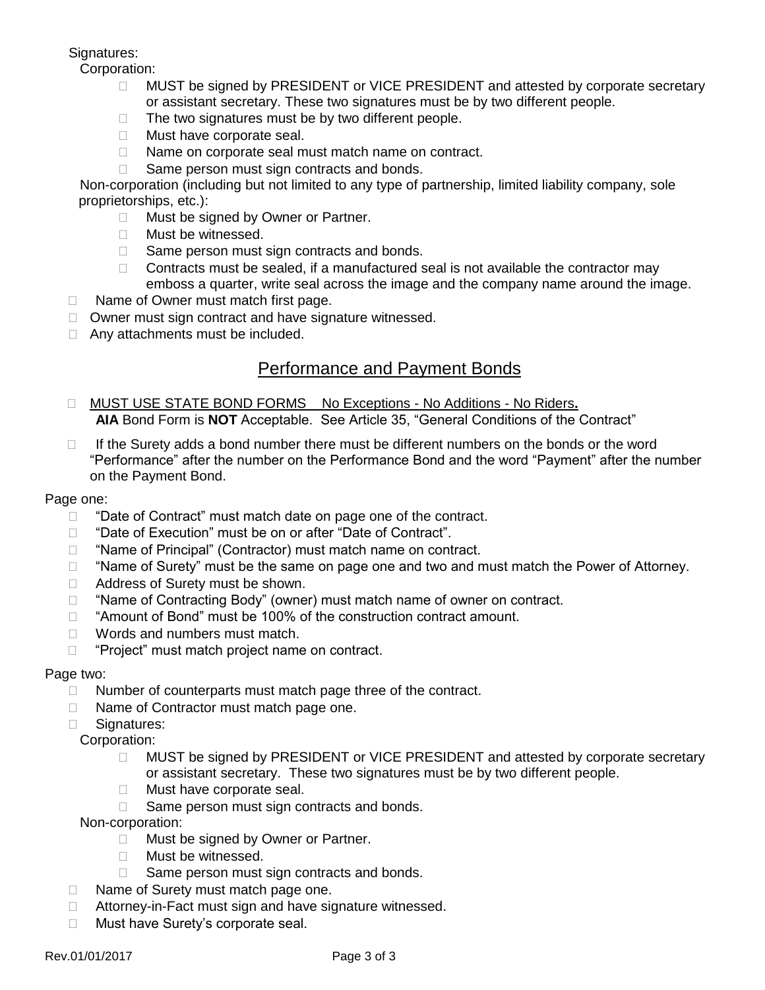## Signatures:

Corporation:

- □ MUST be signed by PRESIDENT or VICE PRESIDENT and attested by corporate secretary or assistant secretary. These two signatures must be by two different people.
- $\Box$  The two signatures must be by two different people.
- **Must have corporate seal.**
- □ Name on corporate seal must match name on contract.
- $\Box$  Same person must sign contracts and bonds.

Non-corporation (including but not limited to any type of partnership, limited liability company, sole proprietorships, etc.):

- □ Must be signed by Owner or Partner.
- **Must be witnessed.**
- $\Box$  Same person must sign contracts and bonds.
- $\Box$  Contracts must be sealed, if a manufactured seal is not available the contractor may emboss a quarter, write seal across the image and the company name around the image.
- $\Box$  Name of Owner must match first page.
- $\Box$  Owner must sign contract and have signature witnessed.
- □ Any attachments must be included.

## Performance and Payment Bonds

- MUST USE STATE BOND FORMS No Exceptions No Additions No Riders**. AIA** Bond Form is **NOT** Acceptable. See Article 35, "General Conditions of the Contract"
- $\Box$  If the Surety adds a bond number there must be different numbers on the bonds or the word "Performance" after the number on the Performance Bond and the word "Payment" after the number on the Payment Bond.

#### Page one:

- D "Date of Contract" must match date on page one of the contract.
- □ "Date of Execution" must be on or after "Date of Contract".
- □ "Name of Principal" (Contractor) must match name on contract.
- $\Box$  "Name of Surety" must be the same on page one and two and must match the Power of Attorney.
- □ Address of Surety must be shown.
- □ "Name of Contracting Body" (owner) must match name of owner on contract.
- □ "Amount of Bond" must be 100% of the construction contract amount.
- □ Words and numbers must match.
- $\Box$  "Project" must match project name on contract.

#### Page two:

- $\Box$  Number of counterparts must match page three of the contract.
- □ Name of Contractor must match page one.
- □ Signatures:

Corporation:

- □ MUST be signed by PRESIDENT or VICE PRESIDENT and attested by corporate secretary or assistant secretary. These two signatures must be by two different people.
- **Must have corporate seal.**
- $\Box$  Same person must sign contracts and bonds.

#### Non-corporation:

- □ Must be signed by Owner or Partner.
- **Must be witnessed.**
- $\Box$  Same person must sign contracts and bonds.
- □ Name of Surety must match page one.
- □ Attorney-in-Fact must sign and have signature witnessed.
- □ Must have Surety's corporate seal.